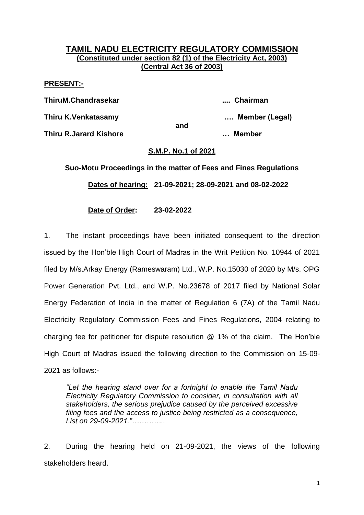## **TAMIL NADU ELECTRICITY REGULATORY COMMISSION (Constituted under section 82 (1) of the Electricity Act, 2003) (Central Act 36 of 2003)**

## **PRESENT:-**

**ThiruM.Chandrasekar .... Chairman Thiru K.Venkatasamy …. Member (Legal) and Thiru R.Jarard Kishore … Member**

## **S.M.P. No.1 of 2021**

**Suo-Motu Proceedings in the matter of Fees and Fines Regulations Dates of hearing: 21-09-2021; 28-09-2021 and 08-02-2022**

**Date of Order: 23-02-2022**

1. The instant proceedings have been initiated consequent to the direction issued by the Hon'ble High Court of Madras in the Writ Petition No. 10944 of 2021 filed by M/s.Arkay Energy (Rameswaram) Ltd., W.P. No.15030 of 2020 by M/s. OPG Power Generation Pvt. Ltd., and W.P. No.23678 of 2017 filed by National Solar Energy Federation of India in the matter of Regulation 6 (7A) of the Tamil Nadu Electricity Regulatory Commission Fees and Fines Regulations, 2004 relating to charging fee for petitioner for dispute resolution @ 1% of the claim. The Hon'ble High Court of Madras issued the following direction to the Commission on 15-09- 2021 as follows:-

*"Let the hearing stand over for a fortnight to enable the Tamil Nadu Electricity Regulatory Commission to consider, in consultation with all stakeholders, the serious prejudice caused by the perceived excessive filing fees and the access to justice being restricted as a consequence, List on 29-09-2021."…………..*

2. During the hearing held on 21-09-2021, the views of the following stakeholders heard.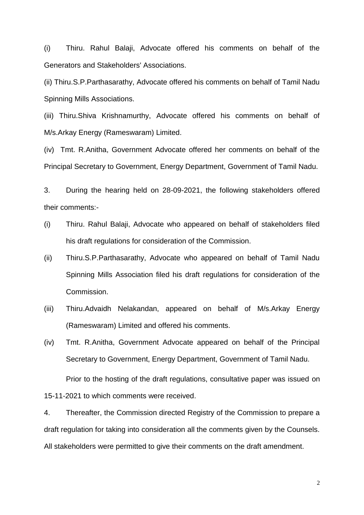(i) Thiru. Rahul Balaji, Advocate offered his comments on behalf of the Generators and Stakeholders' Associations.

(ii) Thiru.S.P.Parthasarathy, Advocate offered his comments on behalf of Tamil Nadu Spinning Mills Associations.

(iii) Thiru.Shiva Krishnamurthy, Advocate offered his comments on behalf of M/s.Arkay Energy (Rameswaram) Limited.

(iv) Tmt. R.Anitha, Government Advocate offered her comments on behalf of the Principal Secretary to Government, Energy Department, Government of Tamil Nadu.

3. During the hearing held on 28-09-2021, the following stakeholders offered their comments:-

- (i) Thiru. Rahul Balaji, Advocate who appeared on behalf of stakeholders filed his draft regulations for consideration of the Commission.
- (ii) Thiru.S.P.Parthasarathy, Advocate who appeared on behalf of Tamil Nadu Spinning Mills Association filed his draft regulations for consideration of the Commission.
- (iii) Thiru.Advaidh Nelakandan, appeared on behalf of M/s.Arkay Energy (Rameswaram) Limited and offered his comments.

(iv) Tmt. R.Anitha, Government Advocate appeared on behalf of the Principal Secretary to Government, Energy Department, Government of Tamil Nadu.

Prior to the hosting of the draft regulations, consultative paper was issued on 15-11-2021 to which comments were received.

4. Thereafter, the Commission directed Registry of the Commission to prepare a draft regulation for taking into consideration all the comments given by the Counsels. All stakeholders were permitted to give their comments on the draft amendment.

2